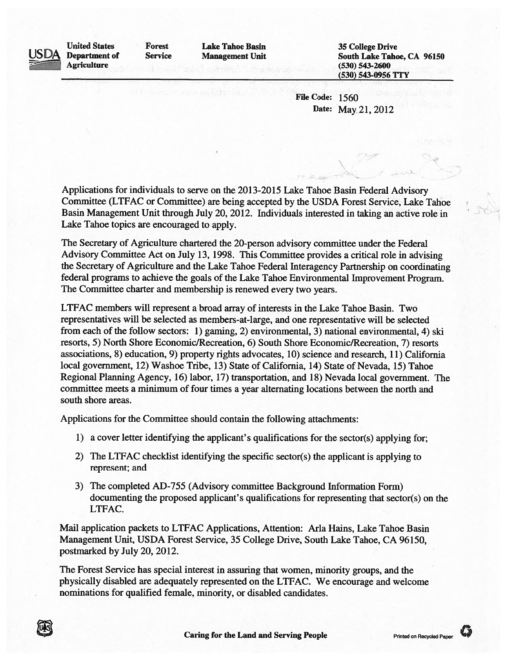

United States Forest Lake Tahoe Basin 35 College Drive<br>
Department of Service Management Unit South Lake Taho

Management Unit South Lake Tahoe, CA 96150 Agriculture (530) 543-2600 (530) 543-0956 TTY

> File Code: 1560 Date: May 21, 2012

Applications for individuals to serve on the 2013-2015 Lake Tahoe Basin Federal Advisory Committee (LTFAC or Committee) are being accepted by the USDA Forest Service, Lake Tahoe Basin Management Unit through July 20, 2012 Individuals interested in taking an active role in Lake Tahoe topics are encouraged to apply

The Secretary of Agriculture chartered the 20-person advisory committee under the Federal Advisory Committee Act on July 13, 1998. This Committee provides a critical role in advising the Secretary of Agriculture and the Lake Tahoe Federal Interagency Partnership on coordinating federal programs to achieve the goals of the Lake Tahoe Environmental Improvement Program. The Committee charter and membership is renewed every two years.

LTFAC members will represent a broad array of interests in the Lake Tahoe Basin. Two representatives will be selected as members-at-large, and one representative will be selected from each of the follow sectors: 1) gaming, 2) environmental, 3) national environmental, 4) ski resorts, 5) North Shore Economic/Recreation, 6) South Shore Economic/Recreation, 7) resorts associations, 8) education, 9) property rights advocates, 10) science and research, 11) California local government, 12) Washoe Tribe, 13) State of California, 14) State of Nevada, 15) Tahoe Regional Planning Agency, 16) labor, 17) transportation, and 18) Nevada local government. The committee meets a minimum of four times a year alternating locations between the north and south shore areas.

Applications for the Committee should contain the following attachments:

- 1) a cover letter identifying the applicant's qualifications for the sector(s) applying for;
- 2) The LTFAC checklist identifying the specific sector(s) the applicant is applying to represent; and
- 3) The completed AD-755 (Advisory committee Background Information Form) documenting the proposed applicant's qualifications for representing that sector(s) on the LTFAC.

Mail application packets to LTFAC Applications, Attention: Aria Hams, Lake Tahoe Basin Management Unit, USDA Forest Service, 35 College Drive, South Lake Tahoe, CA 96150, postmarked by July 20, 2012.

The Forest Service has special interest in assuring that women, minority groups, and the physically disabled are adequately represented on the LTFAC. We encourage and welcome nominations for qualified female, minority, or disabled candidates.

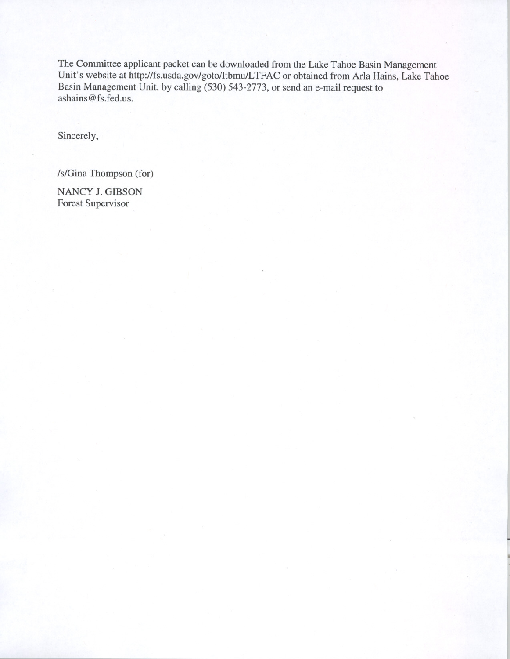The Committee applicant packet can be downloaded from the Lake Tahoe Basin Management Unit's website at http://fs.usda.gov/goto/ltbmu/LTFAC or obtained from Aria Hains, Lake Tahoe Basin Management Unit, by calling (530) 543-2773, or send an e-mail request to ashains@fs.fed.us.

Sincerely,

Is/Gina Thompson (for)

NANCY J. GIBSON Forest Supervisor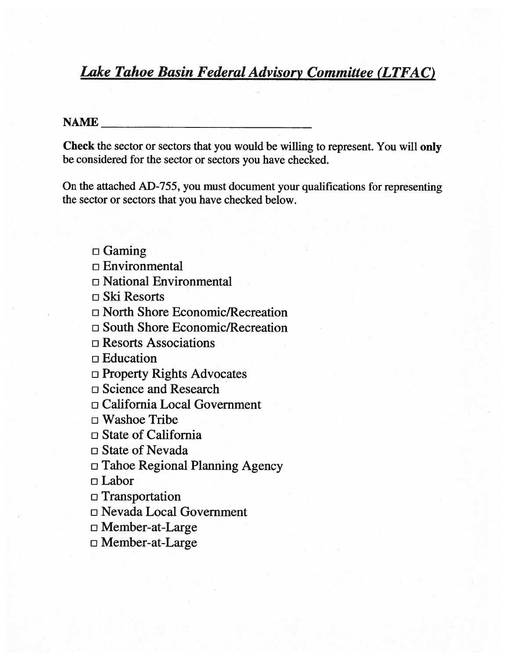# Lake Tahoe Basin Federal Advisory Committee (LTFAC)

## $\mathbf{NAME}$  and  $\mathbf{NAME}$  are the set of  $\mathbf{NAME}$

Check the sector or sectors that you would be willing to represent. You will oniy be considered for the sector or sectors you have checked.

On the attached AD-755, you must document your qualifications for representing the sector or sectors that you have checked below.

 $\Box$  Gaming  $\Box$  Environmental o National Environmental  $\Box$  Ski Resorts o North Shore Economic/Recreation 0 South Shore Economic/Recreation  $\square$  Resorts Associations o Education o Property Rights Advocates □ Science and Research o California Local Government  $\square$  Washoe Tribe  $\Box$  State of California  $\square$  State of Nevada  $\Box$  Tahoe Regional Planning Agency o Labor o Transportation o Nevada Local Government o Member-at-Large o Member-at-Large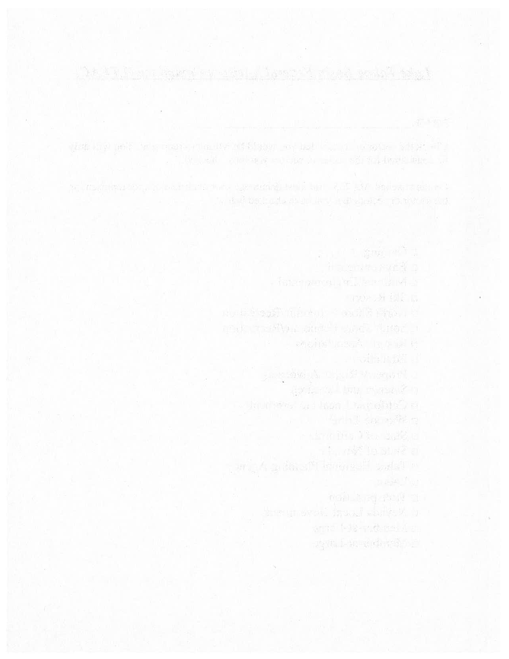the distribution of the state of the state of the state of the state of the state of the state of the state of

 $-6$   $\sigma$  far  $\sim$   $-1$   $\sigma$   $\sigma$   $\sim$   $-1$   $\sigma$ 

 $\mathbb{S}^n$  ,  $\mathbb{S}^n$  ,  $\mathbb{S}^n$  ,  $\mathbb{S}^n$  ,  $\mathbb{S}^n$  ,  $\mathbb{S}^n$  ,

er i i same tak romande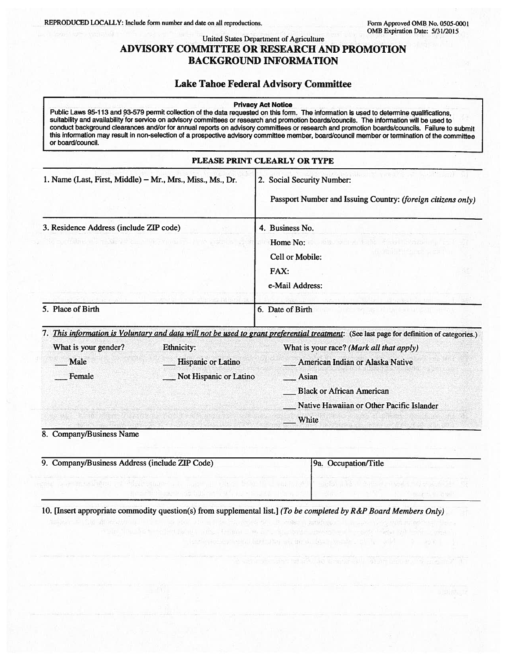## United States Department of Agriculture ADVISORY COMMITTEE OR RESEARCH AND PROMOTION BACKGROUND INFORMATION

## Lake Tahoe Federal Advisory Committee

#### Privacy Act Notice

Public Laws 95-113 and 93-579 permit collection of the data requested on this form. The information is used to determine qualifications, suitability and availability for service on advisory committees or research and promotion boards/councils. The information will be used to conduct background clearances and/or for annual reports on advisory committees or research and promotion boards/councils. Failure to submit this information may result in non-selection of <sup>a</sup> prospective advisory committee member, board/council member or termination of the committee or boardlcouncil.

| PLEASE PRINT CLEARLY OR TYPE                  |                                                            |                                                                                                                                           |  |  |
|-----------------------------------------------|------------------------------------------------------------|-------------------------------------------------------------------------------------------------------------------------------------------|--|--|
|                                               | 1. Name (Last, First, Middle) – Mr., Mrs., Miss., Ms., Dr. | 2. Social Security Number:<br>Passport Number and Issuing Country: (foreign citizens only)                                                |  |  |
| 3. Residence Address (include ZIP code)       |                                                            | 4. Business No.                                                                                                                           |  |  |
| YO EVIDENT OF A THOMAS ARREST OF THE MODEL IN |                                                            | Home No:<br>数据: Stellyth butter of significations in the<br>在《新闻》 医抗心 化学<br>Cell or Mobile:<br>FAX:<br>e-Mail Address:                    |  |  |
| 5. Place of Birth                             |                                                            | 6. Date of Birth<br>turem Conte wa <sub>re</sub> as othered some 251                                                                      |  |  |
|                                               |                                                            | 7. This information is Voluntary and data will not be used to grant preferential treatment: (See last page for definition of categories.) |  |  |
| What is your gender?                          | Ethnicity:                                                 | What is your race? (Mark all that apply)                                                                                                  |  |  |
| Male                                          | Hispanic or Latino                                         | <b>__ American Indian or Alaska Native</b>                                                                                                |  |  |
| Female                                        | Not Hispanic or Latino                                     | Asian                                                                                                                                     |  |  |
|                                               |                                                            | Black or African American                                                                                                                 |  |  |
|                                               |                                                            | Native Hawaiian or Other Pacific Islander                                                                                                 |  |  |
|                                               |                                                            | White                                                                                                                                     |  |  |
| $\mathbf{m}$<br>$\mathbf{r}$                  |                                                            |                                                                                                                                           |  |  |

8. Company/Business Name

| 9. Company/Business Address (include ZIP Code) | 9a. Occupation/Title |  |
|------------------------------------------------|----------------------|--|
|                                                |                      |  |

10. [Insert appropriate commodity question(s) from supplemental list.] (To be completed by R&P Board Members Only)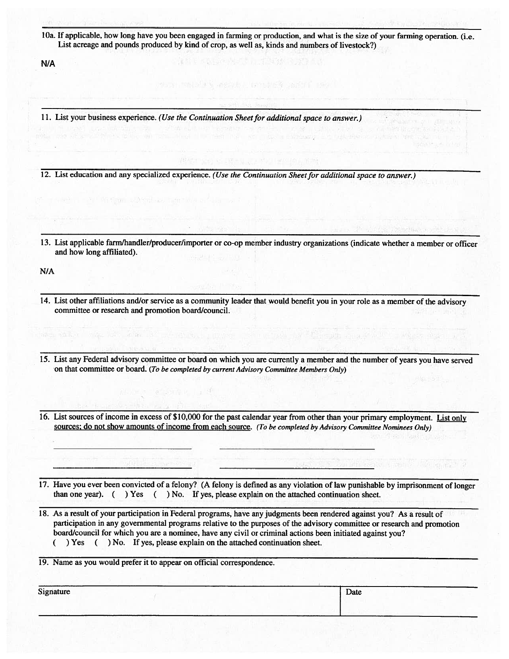lOa. If applicable, how long have you been engaged in farming or production, and what is the size of your farming operation. (i.e. List acreage and pounds produced by kind of crop, as well as, kinds and numbers of livestock?)

N/A

11. List your business experience. (Use the Continuation Sheet for additional space to answer.)

12. List education and any specialized experience. (Use the Continuation Sheet for additional space to answer.)

13. List applicable farm/handler/producer/importer or co-op member industry organizations (indicate whether a member or officer and how long affiliated).

N/A

- 14. List other affiliations and/or service as a community leader that would benefit you in your role as a member of the advisory committee or research and promotion board/council.
- 15. List any Federal advisory committee or board on which you are currently a member and the number of years you have served on that committee or board. (To be completed by current Advisory Committee Members Only)
- 16. List sources of income in excess of \$10,000 for the past calendar year from other than your primary employment. List only sources; do not show amounts of income from each source. (To be completed by Advisory Committee Nominees Only)
- 17. Have you ever been convicted of a felony? (A felony is defined as any violation of law punishable by imprisonment of longer than one year). ( ) Yes ( ) No. If yes, please explain on the attached continuation sheet.
- 18. As a result of your participation in Federal programs, have any judgments been rendered against you? As a result of participation in any governmental programs relative to the purposes of the advisory committee or research and promotion board/council for which you are a nominee, have any civil or criminal actions been initiated against you? ( ) Yes ( ) No. If yes, please explain on the attached continuation sheet.

19. Name as you would prefer it to appear on official correspondence.

安保縣 一只

| Signature | Date |  |
|-----------|------|--|
|           |      |  |
|           |      |  |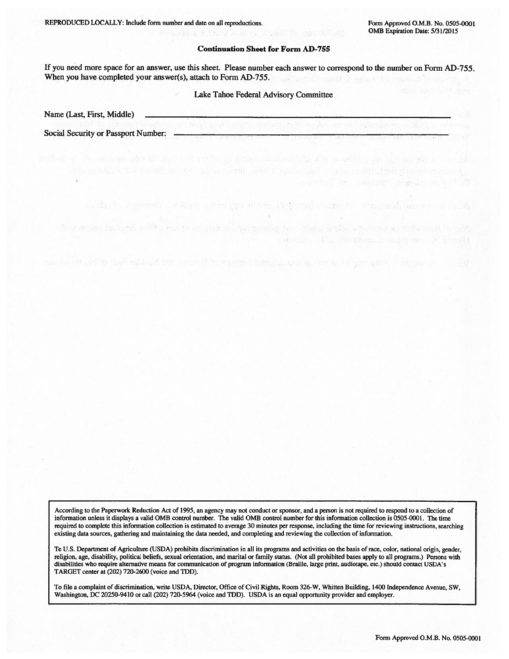Tel: USBN BRITTILL PARTICULATION

The Report of the Charles of the Charles of the Charles of the Charles of the Charles of the Charles of the Charles of the Charles of the Charles of the Charles of the Charles of the Charles of the Charles of the Charles o

#### Continuation Sheet for Form AD-755

**A CONVOOR SAUDALIST** 

If you need more space for an answer, use this sheet. Please number each answer to correspond to the number on Form AD-755. When you have completed your answer(s), attach to Form AD-755.

### Lake Tahoe Federal Advisory Committee

2. 下一 中国地产的 - 中国語 - 中国語文章 中国語 - 中国語 - 中国 - 中国語 - 中国語 - 中国語 - 中国語 - 中国語 - 中国語 - 中国語

of the first was with said out source when wanted a firm is an interest and an authority of the same of

Name (Last, First, Middle)

Social Security or Passport Number:

According to the Paperwork Reduction Act of 1995, an agency may not conduct or sponsor, and a person is not required to respond to a collection of information unless it displays a valid 0MB control number. The valid 0MB control number for this information collection is 0505-0001. The time required to complete this information collection is estimated to average 30 minutes per response, including the time for reviewing instructions, searching existing data sources, gathering and maintaining the data needed, and completing and reviewing the collection of information.

Te U.S. Department of Agriculture (USDA) prohibits discrimination in all its programs and activities on the basis of race, color, national origin, gender, religion, age, disability, political beliefs, sexual orientation, and marital or family status. (Not all prohibited bases apply to all programs.) Persons with disabilities who require alternative means for communication of program information (Braille, large print, audiotape, etc.) should contact USDA's TARGET center at (202) 720-2600 (voice and TDD).

To file a complaint of discrimination, write USDA, Director, Office of Civil Rights, Room 326-W, Whitten Building, 1400 Independence Avenue, SW, Washington, DC 20250-94 10 or call (202) 720-5964 (voice and TDD). USDA is an equal opportunity provider and employer.